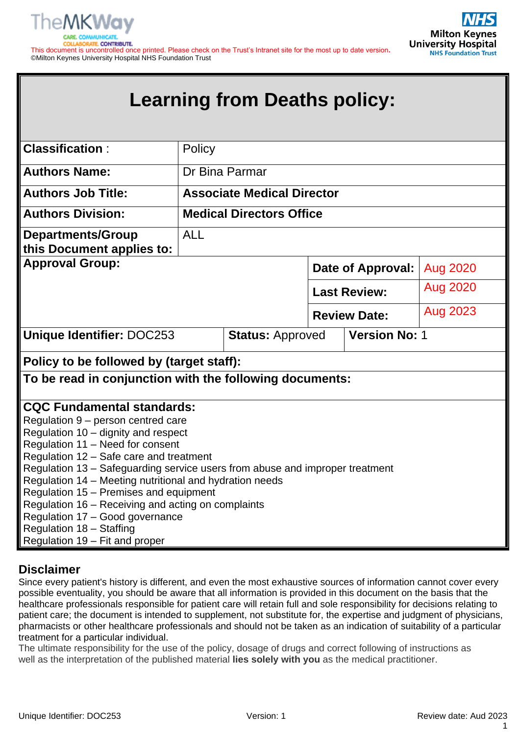

**Milton Keynes University Hospital NHS Foundation Trust** 

This document is uncontrolled once printed. Please check on the Trust's Intranet site for the most up to date version**.** ©Milton Keynes University Hospital NHS Foundation Trust

# **Learning from Deaths policy:**

| <b>Classification:</b>                                                                                                                                                                                                                                                                                                                                                                                                                                                                                                                    | Policy     |                                                 |  |                     |                 |
|-------------------------------------------------------------------------------------------------------------------------------------------------------------------------------------------------------------------------------------------------------------------------------------------------------------------------------------------------------------------------------------------------------------------------------------------------------------------------------------------------------------------------------------------|------------|-------------------------------------------------|--|---------------------|-----------------|
| <b>Authors Name:</b>                                                                                                                                                                                                                                                                                                                                                                                                                                                                                                                      |            | Dr Bina Parmar                                  |  |                     |                 |
| <b>Authors Job Title:</b>                                                                                                                                                                                                                                                                                                                                                                                                                                                                                                                 |            | <b>Associate Medical Director</b>               |  |                     |                 |
| <b>Authors Division:</b>                                                                                                                                                                                                                                                                                                                                                                                                                                                                                                                  |            | <b>Medical Directors Office</b>                 |  |                     |                 |
| <b>Departments/Group</b><br>this Document applies to:                                                                                                                                                                                                                                                                                                                                                                                                                                                                                     | <b>ALL</b> |                                                 |  |                     |                 |
| <b>Approval Group:</b>                                                                                                                                                                                                                                                                                                                                                                                                                                                                                                                    |            |                                                 |  | Date of Approval:   | Aug 2020        |
|                                                                                                                                                                                                                                                                                                                                                                                                                                                                                                                                           |            |                                                 |  | <b>Last Review:</b> | <b>Aug 2020</b> |
|                                                                                                                                                                                                                                                                                                                                                                                                                                                                                                                                           |            |                                                 |  | <b>Review Date:</b> | Aug 2023        |
| <b>Unique Identifier: DOC253</b>                                                                                                                                                                                                                                                                                                                                                                                                                                                                                                          |            | <b>Version No: 1</b><br><b>Status: Approved</b> |  |                     |                 |
| Policy to be followed by (target staff):                                                                                                                                                                                                                                                                                                                                                                                                                                                                                                  |            |                                                 |  |                     |                 |
| To be read in conjunction with the following documents:                                                                                                                                                                                                                                                                                                                                                                                                                                                                                   |            |                                                 |  |                     |                 |
| <b>CQC Fundamental standards:</b><br>Regulation 9 - person centred care<br>Regulation 10 - dignity and respect<br>Regulation 11 - Need for consent<br>Regulation 12 - Safe care and treatment<br>Regulation 13 - Safeguarding service users from abuse and improper treatment<br>Regulation 14 - Meeting nutritional and hydration needs<br>Regulation 15 - Premises and equipment<br>Regulation 16 - Receiving and acting on complaints<br>Regulation 17 - Good governance<br>Regulation 18 - Staffing<br>Regulation 19 – Fit and proper |            |                                                 |  |                     |                 |

# **Disclaimer**

Since every patient's history is different, and even the most exhaustive sources of information cannot cover every possible eventuality, you should be aware that all information is provided in this document on the basis that the healthcare professionals responsible for patient care will retain full and sole responsibility for decisions relating to patient care; the document is intended to supplement, not substitute for, the expertise and judgment of physicians, pharmacists or other healthcare professionals and should not be taken as an indication of suitability of a particular treatment for a particular individual.

The ultimate responsibility for the use of the policy, dosage of drugs and correct following of instructions as well as the interpretation of the published material **lies solely with you** as the medical practitioner.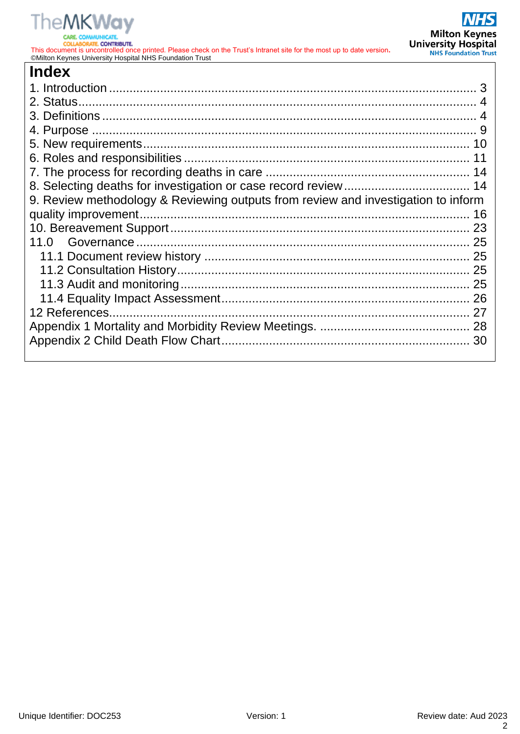

**CARE** 

This document is uncontrolled once printed. Please check on the Trust's Intranet site for the most up to date version**.** ©Milton Keynes University Hospital NHS Foundation Trust

| <b>Index</b>                                                                      |    |
|-----------------------------------------------------------------------------------|----|
|                                                                                   |    |
|                                                                                   |    |
|                                                                                   |    |
|                                                                                   |    |
|                                                                                   |    |
|                                                                                   |    |
|                                                                                   |    |
|                                                                                   |    |
| 9. Review methodology & Reviewing outputs from review and investigation to inform |    |
|                                                                                   | 16 |
|                                                                                   |    |
|                                                                                   |    |
|                                                                                   |    |
|                                                                                   |    |
|                                                                                   | 25 |
|                                                                                   |    |
|                                                                                   | 27 |
|                                                                                   |    |
|                                                                                   |    |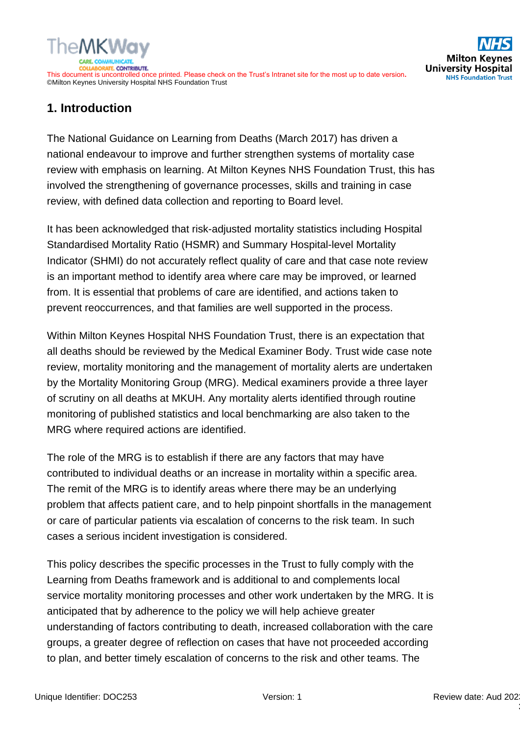

# **1. Introduction**

The National Guidance on Learning from Deaths (March 2017) has driven a national endeavour to improve and further strengthen systems of mortality case review with emphasis on learning. At Milton Keynes NHS Foundation Trust, this has involved the strengthening of governance processes, skills and training in case review, with defined data collection and reporting to Board level.

It has been acknowledged that risk-adjusted mortality statistics including Hospital Standardised Mortality Ratio (HSMR) and Summary Hospital-level Mortality Indicator (SHMI) do not accurately reflect quality of care and that case note review is an important method to identify area where care may be improved, or learned from. It is essential that problems of care are identified, and actions taken to prevent reoccurrences, and that families are well supported in the process.

Within Milton Keynes Hospital NHS Foundation Trust, there is an expectation that all deaths should be reviewed by the Medical Examiner Body. Trust wide case note review, mortality monitoring and the management of mortality alerts are undertaken by the Mortality Monitoring Group (MRG). Medical examiners provide a three layer of scrutiny on all deaths at MKUH. Any mortality alerts identified through routine monitoring of published statistics and local benchmarking are also taken to the MRG where required actions are identified.

The role of the MRG is to establish if there are any factors that may have contributed to individual deaths or an increase in mortality within a specific area. The remit of the MRG is to identify areas where there may be an underlying problem that affects patient care, and to help pinpoint shortfalls in the management or care of particular patients via escalation of concerns to the risk team. In such cases a serious incident investigation is considered.

This policy describes the specific processes in the Trust to fully comply with the Learning from Deaths framework and is additional to and complements local service mortality monitoring processes and other work undertaken by the MRG. It is anticipated that by adherence to the policy we will help achieve greater understanding of factors contributing to death, increased collaboration with the care groups, a greater degree of reflection on cases that have not proceeded according to plan, and better timely escalation of concerns to the risk and other teams. The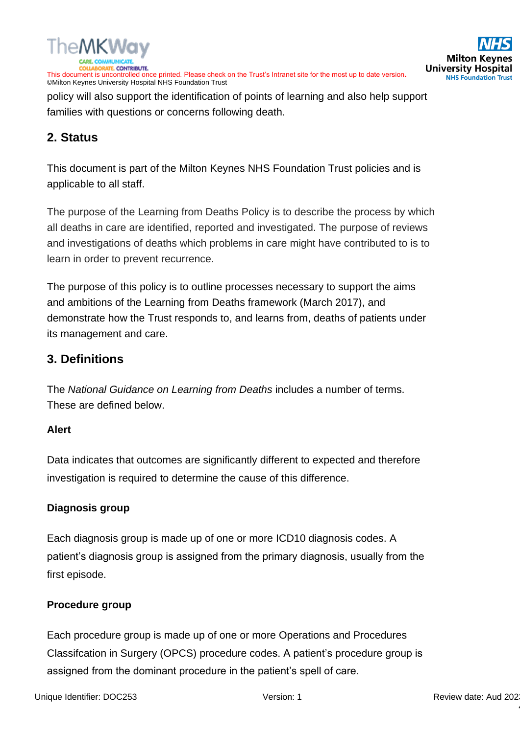

policy will also support the identification of points of learning and also help support families with questions or concerns following death.

# **2. Status**

This document is part of the Milton Keynes NHS Foundation Trust policies and is applicable to all staff.

The purpose of the Learning from Deaths Policy is to describe the process by which all deaths in care are identified, reported and investigated. The purpose of reviews and investigations of deaths which problems in care might have contributed to is to learn in order to prevent recurrence.

The purpose of this policy is to outline processes necessary to support the aims and ambitions of the Learning from Deaths framework (March 2017), and demonstrate how the Trust responds to, and learns from, deaths of patients under its management and care.

# **3. Definitions**

The *National Guidance on Learning from Deaths* includes a number of terms. These are defined below.

# **Alert**

Data indicates that outcomes are significantly different to expected and therefore investigation is required to determine the cause of this difference.

# **Diagnosis group**

Each diagnosis group is made up of one or more ICD10 diagnosis codes. A patient's diagnosis group is assigned from the primary diagnosis, usually from the first episode.

# **Procedure group**

Each procedure group is made up of one or more Operations and Procedures Classifcation in Surgery (OPCS) procedure codes. A patient's procedure group is assigned from the dominant procedure in the patient's spell of care.

4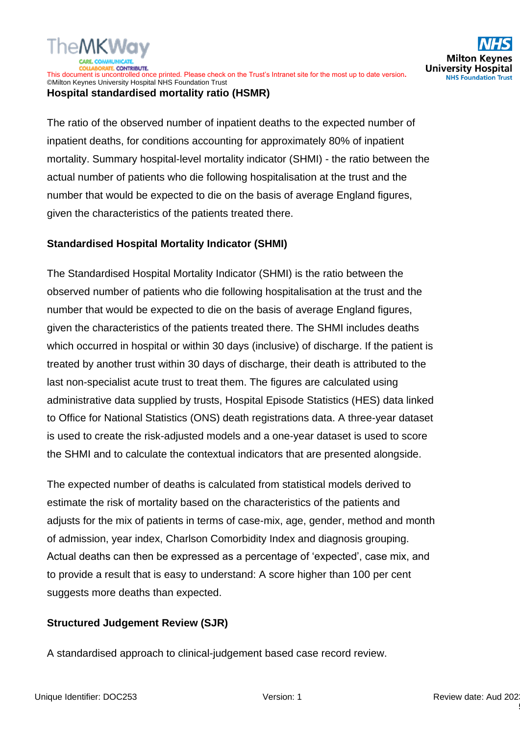

#### ©Milton Keynes University Hospital NHS Foundation Trust **Hospital standardised mortality ratio (HSMR)**

TheMKW

ORATE CONTRIBUTE.

The ratio of the observed number of inpatient deaths to the expected number of inpatient deaths, for conditions accounting for approximately 80% of inpatient mortality. Summary hospital-level mortality indicator (SHMI) - the ratio between the actual number of patients who die following hospitalisation at the trust and the number that would be expected to die on the basis of average England figures, given the characteristics of the patients treated there.

# **Standardised Hospital Mortality Indicator (SHMI)**

The Standardised Hospital Mortality Indicator (SHMI) is the ratio between the observed number of patients who die following hospitalisation at the trust and the number that would be expected to die on the basis of average England figures, given the characteristics of the patients treated there. The SHMI includes deaths which occurred in hospital or within 30 days (inclusive) of discharge. If the patient is treated by another trust within 30 days of discharge, their death is attributed to the last non-specialist acute trust to treat them. The figures are calculated using administrative data supplied by trusts, Hospital Episode Statistics (HES) data linked to Office for National Statistics (ONS) death registrations data. A three-year dataset is used to create the risk-adjusted models and a one-year dataset is used to score the SHMI and to calculate the contextual indicators that are presented alongside.

The expected number of deaths is calculated from statistical models derived to estimate the risk of mortality based on the characteristics of the patients and adjusts for the mix of patients in terms of case-mix, age, gender, method and month of admission, year index, Charlson Comorbidity Index and diagnosis grouping. Actual deaths can then be expressed as a percentage of 'expected', case mix, and to provide a result that is easy to understand: A score higher than 100 per cent suggests more deaths than expected.

# **Structured Judgement Review (SJR)**

A standardised approach to clinical-judgement based case record review.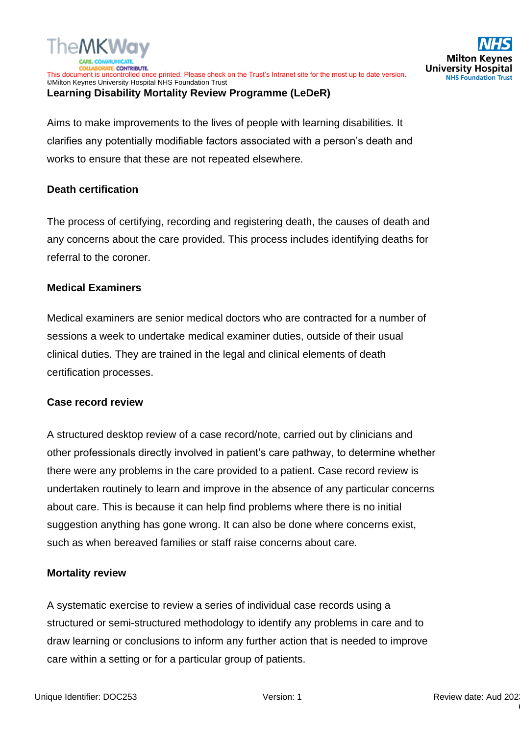

**Learning Disability Mortality Review Programme (LeDeR)**

Aims to make improvements to the lives of people with learning disabilities. It clarifies any potentially modifiable factors associated with a person's death and works to ensure that these are not repeated elsewhere.

## **Death certification**

The process of certifying, recording and registering death, the causes of death and any concerns about the care provided. This process includes identifying deaths for referral to the coroner.

## **Medical Examiners**

Medical examiners are senior medical doctors who are contracted for a number of sessions a week to undertake medical examiner duties, outside of their usual clinical duties. They are trained in the legal and clinical elements of death certification processes.

#### **Case record review**

A structured desktop review of a case record/note, carried out by clinicians and other professionals directly involved in patient's care pathway, to determine whether there were any problems in the care provided to a patient. Case record review is undertaken routinely to learn and improve in the absence of any particular concerns about care. This is because it can help find problems where there is no initial suggestion anything has gone wrong. It can also be done where concerns exist, such as when bereaved families or staff raise concerns about care.

# **Mortality review**

A systematic exercise to review a series of individual case records using a structured or semi-structured methodology to identify any problems in care and to draw learning or conclusions to inform any further action that is needed to improve care within a setting or for a particular group of patients.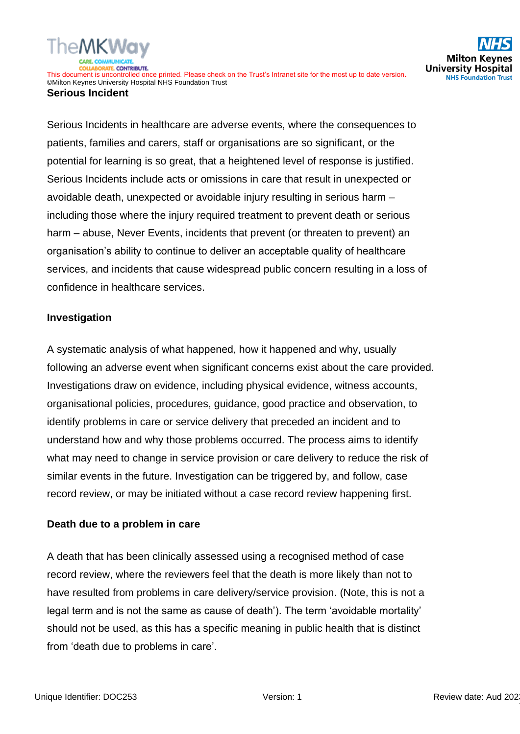#### **Serious Incident**

Serious Incidents in healthcare are adverse events, where the consequences to patients, families and carers, staff or organisations are so significant, or the potential for learning is so great, that a heightened level of response is justified. Serious Incidents include acts or omissions in care that result in unexpected or avoidable death, unexpected or avoidable injury resulting in serious harm – including those where the injury required treatment to prevent death or serious harm – abuse, Never Events, incidents that prevent (or threaten to prevent) an organisation's ability to continue to deliver an acceptable quality of healthcare services, and incidents that cause widespread public concern resulting in a loss of confidence in healthcare services.

# **Investigation**

A systematic analysis of what happened, how it happened and why, usually following an adverse event when significant concerns exist about the care provided. Investigations draw on evidence, including physical evidence, witness accounts, organisational policies, procedures, guidance, good practice and observation, to identify problems in care or service delivery that preceded an incident and to understand how and why those problems occurred. The process aims to identify what may need to change in service provision or care delivery to reduce the risk of similar events in the future. Investigation can be triggered by, and follow, case record review, or may be initiated without a case record review happening first.

# **Death due to a problem in care**

A death that has been clinically assessed using a recognised method of case record review, where the reviewers feel that the death is more likely than not to have resulted from problems in care delivery/service provision. (Note, this is not a legal term and is not the same as cause of death'). The term 'avoidable mortality' should not be used, as this has a specific meaning in public health that is distinct from 'death due to problems in care'.

**Milton Ko** 

**University Hospital NHS Foundation Trust** 

7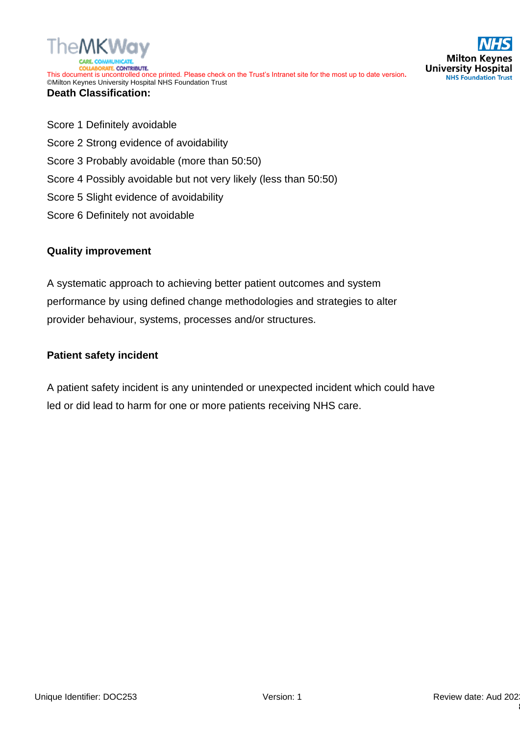



## **Death Classification:**

- Score 1 Definitely avoidable
- Score 2 Strong evidence of avoidability
- Score 3 Probably avoidable (more than 50:50)
- Score 4 Possibly avoidable but not very likely (less than 50:50)
- Score 5 Slight evidence of avoidability
- Score 6 Definitely not avoidable

## **Quality improvement**

A systematic approach to achieving better patient outcomes and system performance by using defined change methodologies and strategies to alter provider behaviour, systems, processes and/or structures.

## **Patient safety incident**

A patient safety incident is any unintended or unexpected incident which could have led or did lead to harm for one or more patients receiving NHS care.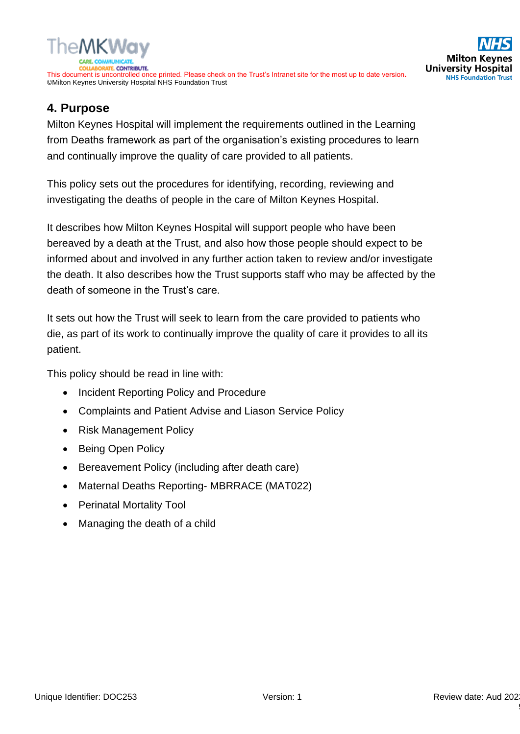

# **4. Purpose**

Milton Keynes Hospital will implement the requirements outlined in the Learning from Deaths framework as part of the organisation's existing procedures to learn and continually improve the quality of care provided to all patients.

This policy sets out the procedures for identifying, recording, reviewing and investigating the deaths of people in the care of Milton Keynes Hospital.

It describes how Milton Keynes Hospital will support people who have been bereaved by a death at the Trust, and also how those people should expect to be informed about and involved in any further action taken to review and/or investigate the death. It also describes how the Trust supports staff who may be affected by the death of someone in the Trust's care.

It sets out how the Trust will seek to learn from the care provided to patients who die, as part of its work to continually improve the quality of care it provides to all its patient.

This policy should be read in line with:

- Incident Reporting Policy and Procedure
- Complaints and Patient Advise and Liason Service Policy
- Risk Management Policy
- Being Open Policy
- Bereavement Policy (including after death care)
- Maternal Deaths Reporting- MBRRACE (MAT022)
- Perinatal Mortality Tool
- Managing the death of a child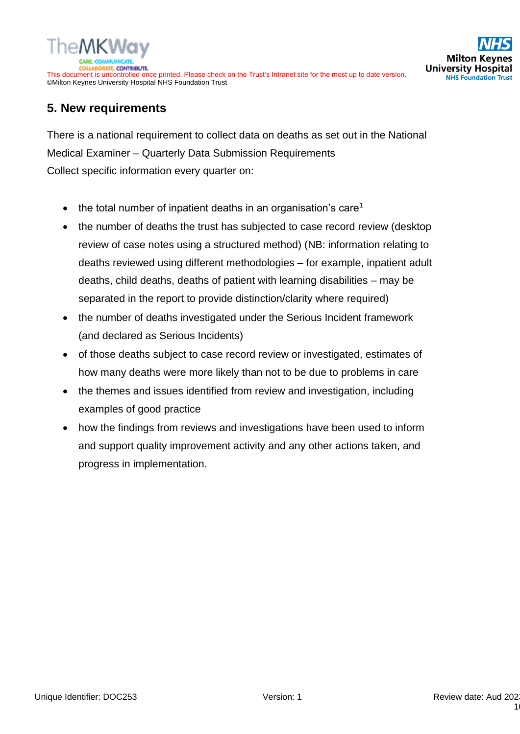

# **5. New requirements**

There is a national requirement to collect data on deaths as set out in the National Medical Examiner – Quarterly Data Submission Requirements Collect specific information every quarter on:

- the total number of inpatient deaths in an organisation's care<sup>1</sup>
- the number of deaths the trust has subjected to case record review (desktop review of case notes using a structured method) (NB: information relating to deaths reviewed using different methodologies – for example, inpatient adult deaths, child deaths, deaths of patient with learning disabilities – may be separated in the report to provide distinction/clarity where required)
- the number of deaths investigated under the Serious Incident framework (and declared as Serious Incidents)
- of those deaths subject to case record review or investigated, estimates of how many deaths were more likely than not to be due to problems in care
- the themes and issues identified from review and investigation, including examples of good practice
- how the findings from reviews and investigations have been used to inform and support quality improvement activity and any other actions taken, and progress in implementation.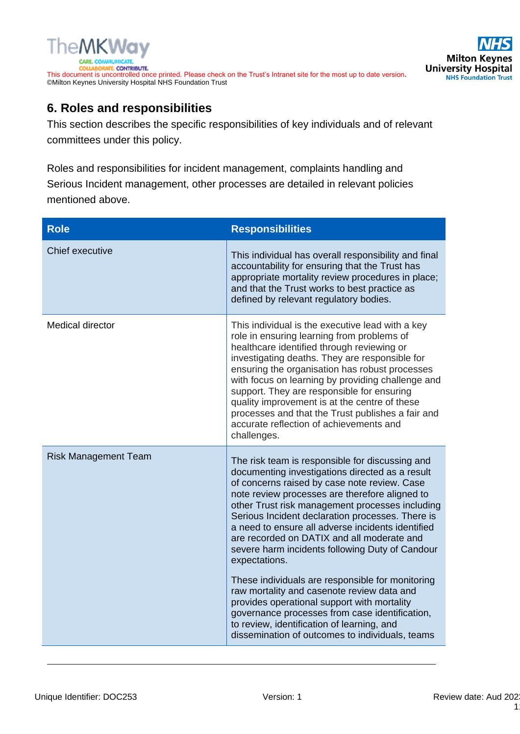

# **6. Roles and responsibilities**

This section describes the specific responsibilities of key individuals and of relevant committees under this policy.

Roles and responsibilities for incident management, complaints handling and Serious Incident management, other processes are detailed in relevant policies mentioned above.

| <b>Role</b>                 | <b>Responsibilities</b>                                                                                                                                                                                                                                                                                                                                                                                                                                                                                                                                                                                                                                                                                                                                                                |
|-----------------------------|----------------------------------------------------------------------------------------------------------------------------------------------------------------------------------------------------------------------------------------------------------------------------------------------------------------------------------------------------------------------------------------------------------------------------------------------------------------------------------------------------------------------------------------------------------------------------------------------------------------------------------------------------------------------------------------------------------------------------------------------------------------------------------------|
| Chief executive             | This individual has overall responsibility and final<br>accountability for ensuring that the Trust has<br>appropriate mortality review procedures in place;<br>and that the Trust works to best practice as<br>defined by relevant regulatory bodies.                                                                                                                                                                                                                                                                                                                                                                                                                                                                                                                                  |
| <b>Medical director</b>     | This individual is the executive lead with a key<br>role in ensuring learning from problems of<br>healthcare identified through reviewing or<br>investigating deaths. They are responsible for<br>ensuring the organisation has robust processes<br>with focus on learning by providing challenge and<br>support. They are responsible for ensuring<br>quality improvement is at the centre of these<br>processes and that the Trust publishes a fair and<br>accurate reflection of achievements and<br>challenges.                                                                                                                                                                                                                                                                    |
| <b>Risk Management Team</b> | The risk team is responsible for discussing and<br>documenting investigations directed as a result<br>of concerns raised by case note review. Case<br>note review processes are therefore aligned to<br>other Trust risk management processes including<br>Serious Incident declaration processes. There is<br>a need to ensure all adverse incidents identified<br>are recorded on DATIX and all moderate and<br>severe harm incidents following Duty of Candour<br>expectations.<br>These individuals are responsible for monitoring<br>raw mortality and casenote review data and<br>provides operational support with mortality<br>governance processes from case identification,<br>to review, identification of learning, and<br>dissemination of outcomes to individuals, teams |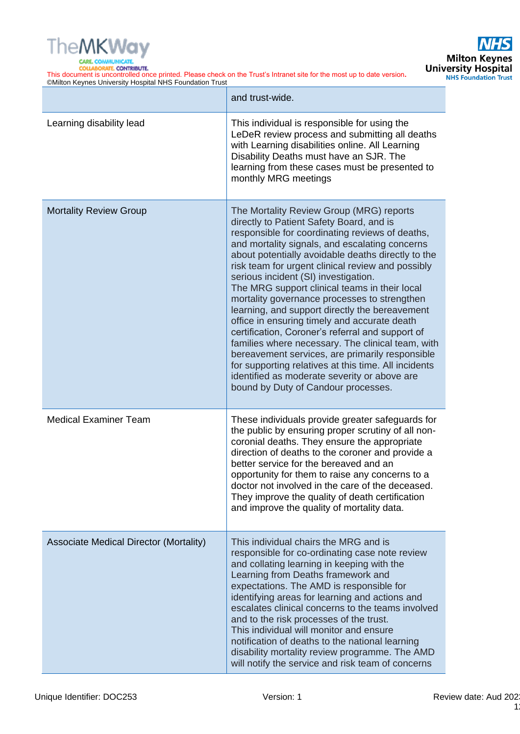

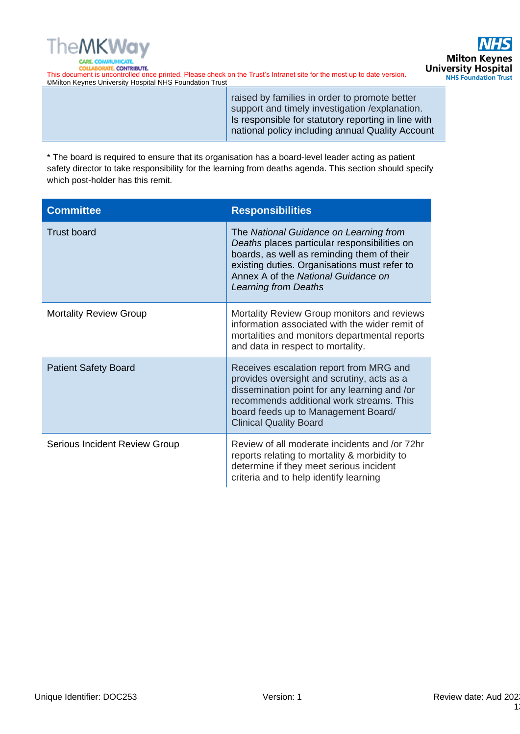



> raised by families in order to promote better support and timely investigation /explanation. Is responsible for statutory reporting in line with national policy including annual Quality Account

\* The board is required to ensure that its organisation has a board-level leader acting as patient safety director to take responsibility for the learning from deaths agenda. This section should specify which post-holder has this remit.

| <b>Committee</b>              | <b>Responsibilities</b>                                                                                                                                                                                                                                    |
|-------------------------------|------------------------------------------------------------------------------------------------------------------------------------------------------------------------------------------------------------------------------------------------------------|
| <b>Trust board</b>            | The National Guidance on Learning from<br>Deaths places particular responsibilities on<br>boards, as well as reminding them of their<br>existing duties. Organisations must refer to<br>Annex A of the National Guidance on<br><b>Learning from Deaths</b> |
| <b>Mortality Review Group</b> | Mortality Review Group monitors and reviews<br>information associated with the wider remit of<br>mortalities and monitors departmental reports<br>and data in respect to mortality.                                                                        |
| <b>Patient Safety Board</b>   | Receives escalation report from MRG and<br>provides oversight and scrutiny, acts as a<br>dissemination point for any learning and /or<br>recommends additional work streams. This<br>board feeds up to Management Board/<br><b>Clinical Quality Board</b>  |
| Serious Incident Review Group | Review of all moderate incidents and /or 72hr<br>reports relating to mortality & morbidity to<br>determine if they meet serious incident<br>criteria and to help identify learning                                                                         |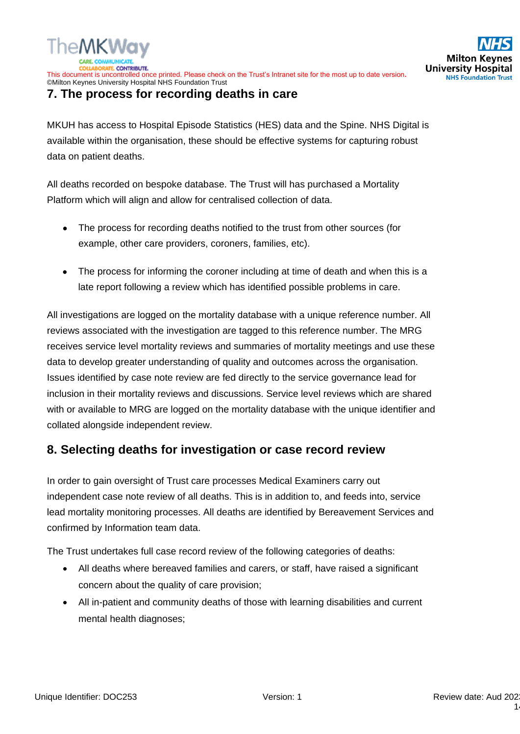

# **7. The process for recording deaths in care**

MKUH has access to Hospital Episode Statistics (HES) data and the Spine. NHS Digital is available within the organisation, these should be effective systems for capturing robust data on patient deaths.

All deaths recorded on bespoke database. The Trust will has purchased a Mortality Platform which will align and allow for centralised collection of data.

- The process for recording deaths notified to the trust from other sources (for example, other care providers, coroners, families, etc).
- The process for informing the coroner including at time of death and when this is a late report following a review which has identified possible problems in care.

All investigations are logged on the mortality database with a unique reference number. All reviews associated with the investigation are tagged to this reference number. The MRG receives service level mortality reviews and summaries of mortality meetings and use these data to develop greater understanding of quality and outcomes across the organisation. Issues identified by case note review are fed directly to the service governance lead for inclusion in their mortality reviews and discussions. Service level reviews which are shared with or available to MRG are logged on the mortality database with the unique identifier and collated alongside independent review.

# **8. Selecting deaths for investigation or case record review**

In order to gain oversight of Trust care processes Medical Examiners carry out independent case note review of all deaths. This is in addition to, and feeds into, service lead mortality monitoring processes. All deaths are identified by Bereavement Services and confirmed by Information team data.

The Trust undertakes full case record review of the following categories of deaths:

- All deaths where bereaved families and carers, or staff, have raised a significant concern about the quality of care provision;
- All in-patient and community deaths of those with learning disabilities and current mental health diagnoses;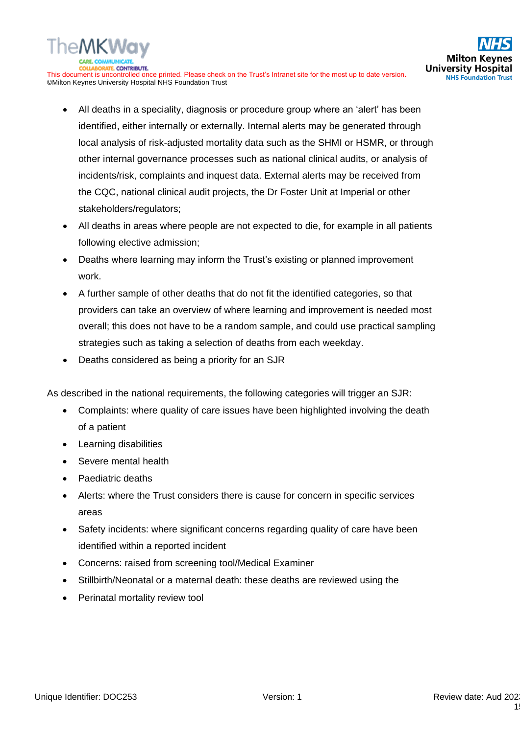- All deaths in a speciality, diagnosis or procedure group where an 'alert' has been identified, either internally or externally. Internal alerts may be generated through local analysis of risk-adjusted mortality data such as the SHMI or HSMR, or through other internal governance processes such as national clinical audits, or analysis of incidents/risk, complaints and inquest data. External alerts may be received from the CQC, national clinical audit projects, the Dr Foster Unit at Imperial or other stakeholders/regulators;
- All deaths in areas where people are not expected to die, for example in all patients following elective admission;
- Deaths where learning may inform the Trust's existing or planned improvement work.
- A further sample of other deaths that do not fit the identified categories, so that providers can take an overview of where learning and improvement is needed most overall; this does not have to be a random sample, and could use practical sampling strategies such as taking a selection of deaths from each weekday.
- Deaths considered as being a priority for an SJR

As described in the national requirements, the following categories will trigger an SJR:

- Complaints: where quality of care issues have been highlighted involving the death of a patient
- Learning disabilities
- Severe mental health
- Paediatric deaths
- Alerts: where the Trust considers there is cause for concern in specific services areas
- Safety incidents: where significant concerns regarding quality of care have been identified within a reported incident
- Concerns: raised from screening tool/Medical Examiner
- Stillbirth/Neonatal or a maternal death: these deaths are reviewed using the
- Perinatal mortality review tool

**Milton Ke** 

**NHS Foundation Trust**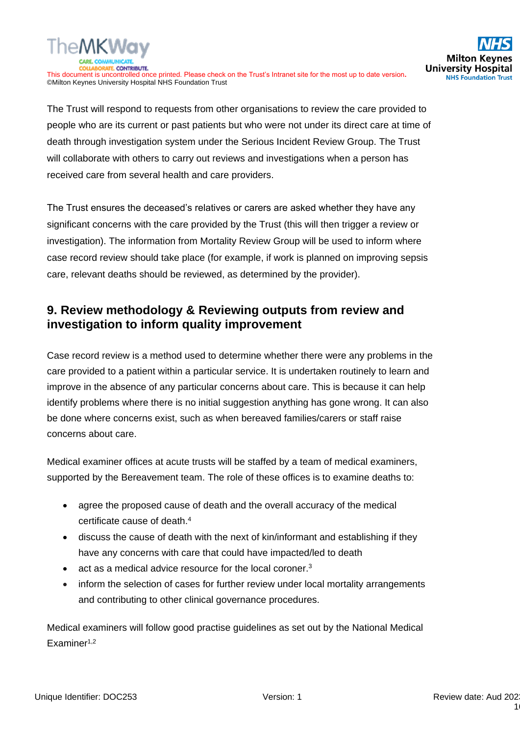

The Trust will respond to requests from other organisations to review the care provided to people who are its current or past patients but who were not under its direct care at time of death through investigation system under the Serious Incident Review Group. The Trust will collaborate with others to carry out reviews and investigations when a person has received care from several health and care providers.

The Trust ensures the deceased's relatives or carers are asked whether they have any significant concerns with the care provided by the Trust (this will then trigger a review or investigation). The information from Mortality Review Group will be used to inform where case record review should take place (for example, if work is planned on improving sepsis care, relevant deaths should be reviewed, as determined by the provider).

# **9. Review methodology & Reviewing outputs from review and investigation to inform quality improvement**

Case record review is a method used to determine whether there were any problems in the care provided to a patient within a particular service. It is undertaken routinely to learn and improve in the absence of any particular concerns about care. This is because it can help identify problems where there is no initial suggestion anything has gone wrong. It can also be done where concerns exist, such as when bereaved families/carers or staff raise concerns about care.

Medical examiner offices at acute trusts will be staffed by a team of medical examiners, supported by the Bereavement team. The role of these offices is to examine deaths to:

- agree the proposed cause of death and the overall accuracy of the medical certificate cause of death.<sup>4</sup>
- discuss the cause of death with the next of kin/informant and establishing if they have any concerns with care that could have impacted/led to death
- act as a medical advice resource for the local coroner.<sup>3</sup>
- inform the selection of cases for further review under local mortality arrangements and contributing to other clinical governance procedures.

Medical examiners will follow good practise guidelines as set out by the National Medical Examiner1,2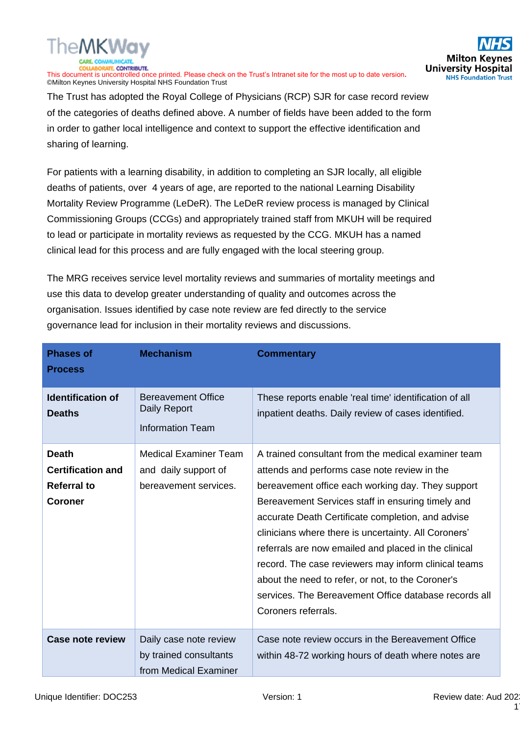

The Trust has adopted the Royal College of Physicians (RCP) SJR for case record review of the categories of deaths defined above. A number of fields have been added to the form in order to gather local intelligence and context to support the effective identification and sharing of learning.

For patients with a learning disability, in addition to completing an SJR locally, all eligible deaths of patients, over 4 years of age, are reported to the national Learning Disability Mortality Review Programme (LeDeR). The LeDeR review process is managed by Clinical Commissioning Groups (CCGs) and appropriately trained staff from MKUH will be required to lead or participate in mortality reviews as requested by the CCG. MKUH has a named clinical lead for this process and are fully engaged with the local steering group.

The MRG receives service level mortality reviews and summaries of mortality meetings and use this data to develop greater understanding of quality and outcomes across the organisation. Issues identified by case note review are fed directly to the service governance lead for inclusion in their mortality reviews and discussions.

| <b>Phases of</b><br><b>Process</b>                                               | <b>Mechanism</b>                                                              | <b>Commentary</b>                                                                                                                                                                                                                                                                                                                                                                                                                                                                                                                                                               |
|----------------------------------------------------------------------------------|-------------------------------------------------------------------------------|---------------------------------------------------------------------------------------------------------------------------------------------------------------------------------------------------------------------------------------------------------------------------------------------------------------------------------------------------------------------------------------------------------------------------------------------------------------------------------------------------------------------------------------------------------------------------------|
| <b>Identification of</b><br><b>Deaths</b>                                        | <b>Bereavement Office</b><br>Daily Report<br><b>Information Team</b>          | These reports enable 'real time' identification of all<br>inpatient deaths. Daily review of cases identified.                                                                                                                                                                                                                                                                                                                                                                                                                                                                   |
| <b>Death</b><br><b>Certification and</b><br><b>Referral to</b><br><b>Coroner</b> | <b>Medical Examiner Team</b><br>and daily support of<br>bereavement services. | A trained consultant from the medical examiner team<br>attends and performs case note review in the<br>bereavement office each working day. They support<br>Bereavement Services staff in ensuring timely and<br>accurate Death Certificate completion, and advise<br>clinicians where there is uncertainty. All Coroners'<br>referrals are now emailed and placed in the clinical<br>record. The case reviewers may inform clinical teams<br>about the need to refer, or not, to the Coroner's<br>services. The Bereavement Office database records all<br>Coroners referrals. |
| Case note review                                                                 | Daily case note review<br>by trained consultants<br>from Medical Examiner     | Case note review occurs in the Bereavement Office<br>within 48-72 working hours of death where notes are                                                                                                                                                                                                                                                                                                                                                                                                                                                                        |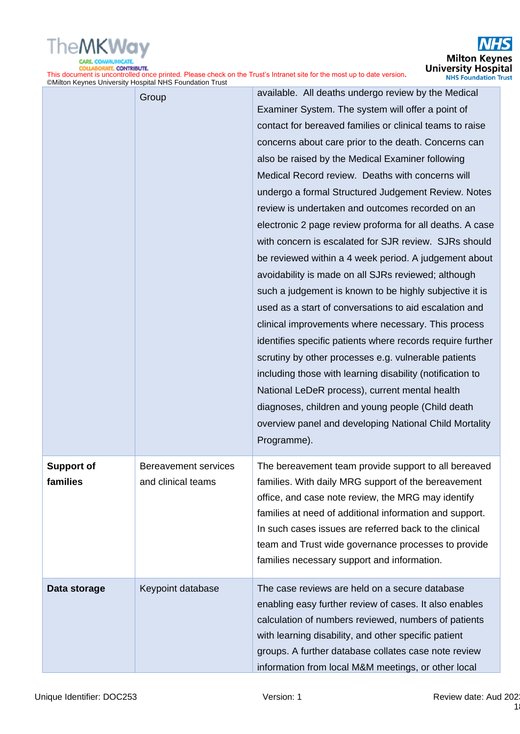

|                               | $\mathcal{L}$ of the term in the set of the stage of the set of the set of the set of the set of the set of the set of the set of the set of the set of the set of the set of the set of the set of the set of the set of the set |                                                                                                                                                                                                                                                                                                                                                                                                                                                                                                                                                                                                                                                                                                                                                                                                                                                                                                                                                                                                                                                                                                                                                                                                                                     |
|-------------------------------|-----------------------------------------------------------------------------------------------------------------------------------------------------------------------------------------------------------------------------------|-------------------------------------------------------------------------------------------------------------------------------------------------------------------------------------------------------------------------------------------------------------------------------------------------------------------------------------------------------------------------------------------------------------------------------------------------------------------------------------------------------------------------------------------------------------------------------------------------------------------------------------------------------------------------------------------------------------------------------------------------------------------------------------------------------------------------------------------------------------------------------------------------------------------------------------------------------------------------------------------------------------------------------------------------------------------------------------------------------------------------------------------------------------------------------------------------------------------------------------|
|                               | Group                                                                                                                                                                                                                             | available. All deaths undergo review by the Medical<br>Examiner System. The system will offer a point of<br>contact for bereaved families or clinical teams to raise<br>concerns about care prior to the death. Concerns can<br>also be raised by the Medical Examiner following<br>Medical Record review. Deaths with concerns will<br>undergo a formal Structured Judgement Review. Notes<br>review is undertaken and outcomes recorded on an<br>electronic 2 page review proforma for all deaths. A case<br>with concern is escalated for SJR review. SJRs should<br>be reviewed within a 4 week period. A judgement about<br>avoidability is made on all SJRs reviewed; although<br>such a judgement is known to be highly subjective it is<br>used as a start of conversations to aid escalation and<br>clinical improvements where necessary. This process<br>identifies specific patients where records require further<br>scrutiny by other processes e.g. vulnerable patients<br>including those with learning disability (notification to<br>National LeDeR process), current mental health<br>diagnoses, children and young people (Child death<br>overview panel and developing National Child Mortality<br>Programme). |
| <b>Support of</b><br>families | Bereavement services<br>and clinical teams                                                                                                                                                                                        | The bereavement team provide support to all bereaved<br>families. With daily MRG support of the bereavement<br>office, and case note review, the MRG may identify<br>families at need of additional information and support.<br>In such cases issues are referred back to the clinical<br>team and Trust wide governance processes to provide<br>families necessary support and information.                                                                                                                                                                                                                                                                                                                                                                                                                                                                                                                                                                                                                                                                                                                                                                                                                                        |
| Data storage                  | Keypoint database                                                                                                                                                                                                                 | The case reviews are held on a secure database<br>enabling easy further review of cases. It also enables<br>calculation of numbers reviewed, numbers of patients<br>with learning disability, and other specific patient<br>groups. A further database collates case note review<br>information from local M&M meetings, or other local                                                                                                                                                                                                                                                                                                                                                                                                                                                                                                                                                                                                                                                                                                                                                                                                                                                                                             |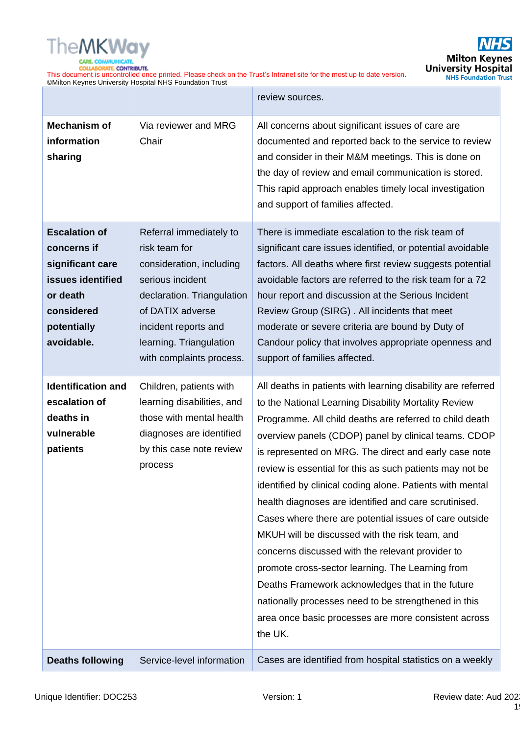

|                                                                                                                                     |                                                                                                                                                                                                                           | review sources.                                                                                                                                                                                                                                                                                                                                                                                                                                                                                                                                                                                                                                                                                                                                                                                                                                                                       |  |  |
|-------------------------------------------------------------------------------------------------------------------------------------|---------------------------------------------------------------------------------------------------------------------------------------------------------------------------------------------------------------------------|---------------------------------------------------------------------------------------------------------------------------------------------------------------------------------------------------------------------------------------------------------------------------------------------------------------------------------------------------------------------------------------------------------------------------------------------------------------------------------------------------------------------------------------------------------------------------------------------------------------------------------------------------------------------------------------------------------------------------------------------------------------------------------------------------------------------------------------------------------------------------------------|--|--|
| <b>Mechanism of</b><br>information<br>sharing                                                                                       | Via reviewer and MRG<br>Chair                                                                                                                                                                                             | All concerns about significant issues of care are<br>documented and reported back to the service to review<br>and consider in their M&M meetings. This is done on<br>the day of review and email communication is stored.<br>This rapid approach enables timely local investigation<br>and support of families affected.                                                                                                                                                                                                                                                                                                                                                                                                                                                                                                                                                              |  |  |
| <b>Escalation of</b><br>concerns if<br>significant care<br>issues identified<br>or death<br>considered<br>potentially<br>avoidable. | Referral immediately to<br>risk team for<br>consideration, including<br>serious incident<br>declaration. Triangulation<br>of DATIX adverse<br>incident reports and<br>learning. Triangulation<br>with complaints process. | There is immediate escalation to the risk team of<br>significant care issues identified, or potential avoidable<br>factors. All deaths where first review suggests potential<br>avoidable factors are referred to the risk team for a 72<br>hour report and discussion at the Serious Incident<br>Review Group (SIRG). All incidents that meet<br>moderate or severe criteria are bound by Duty of<br>Candour policy that involves appropriate openness and<br>support of families affected.                                                                                                                                                                                                                                                                                                                                                                                          |  |  |
| <b>Identification and</b><br>escalation of<br>deaths in<br>vulnerable<br>patients                                                   | Children, patients with<br>learning disabilities, and<br>those with mental health<br>diagnoses are identified<br>by this case note review<br>process                                                                      | All deaths in patients with learning disability are referred<br>to the National Learning Disability Mortality Review<br>Programme. All child deaths are referred to child death<br>overview panels (CDOP) panel by clinical teams. CDOP<br>is represented on MRG. The direct and early case note<br>review is essential for this as such patients may not be<br>identified by clinical coding alone. Patients with mental<br>health diagnoses are identified and care scrutinised.<br>Cases where there are potential issues of care outside<br>MKUH will be discussed with the risk team, and<br>concerns discussed with the relevant provider to<br>promote cross-sector learning. The Learning from<br>Deaths Framework acknowledges that in the future<br>nationally processes need to be strengthened in this<br>area once basic processes are more consistent across<br>the UK. |  |  |
| <b>Deaths following</b>                                                                                                             | Service-level information                                                                                                                                                                                                 | Cases are identified from hospital statistics on a weekly                                                                                                                                                                                                                                                                                                                                                                                                                                                                                                                                                                                                                                                                                                                                                                                                                             |  |  |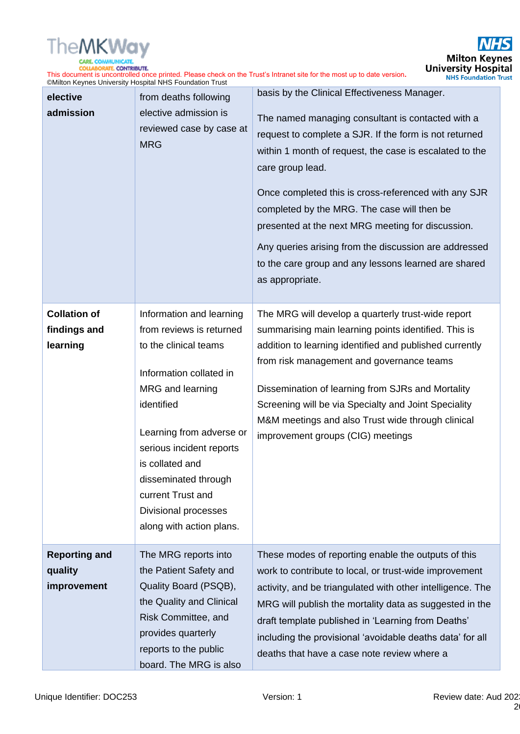

This document is uncontrolled once printed. Please check on the Trust's Intranet site for the most up to date version**.** ©Milton Keynes University Hospital NHS Foundation Trust basis by the Clinical Effectiveness Manager.

| elective<br>admission                           | from deaths following<br>elective admission is<br>reviewed case by case at<br><b>MRG</b>                                                                                                                                                                                                                               | basis by the Clinical Effectiveness Manager.<br>The named managing consultant is contacted with a<br>request to complete a SJR. If the form is not returned<br>within 1 month of request, the case is escalated to the<br>care group lead.<br>Once completed this is cross-referenced with any SJR<br>completed by the MRG. The case will then be<br>presented at the next MRG meeting for discussion.<br>Any queries arising from the discussion are addressed<br>to the care group and any lessons learned are shared<br>as appropriate. |
|-------------------------------------------------|------------------------------------------------------------------------------------------------------------------------------------------------------------------------------------------------------------------------------------------------------------------------------------------------------------------------|--------------------------------------------------------------------------------------------------------------------------------------------------------------------------------------------------------------------------------------------------------------------------------------------------------------------------------------------------------------------------------------------------------------------------------------------------------------------------------------------------------------------------------------------|
| <b>Collation of</b><br>findings and<br>learning | Information and learning<br>from reviews is returned<br>to the clinical teams<br>Information collated in<br>MRG and learning<br>identified<br>Learning from adverse or<br>serious incident reports<br>is collated and<br>disseminated through<br>current Trust and<br>Divisional processes<br>along with action plans. | The MRG will develop a quarterly trust-wide report<br>summarising main learning points identified. This is<br>addition to learning identified and published currently<br>from risk management and governance teams<br>Dissemination of learning from SJRs and Mortality<br>Screening will be via Specialty and Joint Speciality<br>M&M meetings and also Trust wide through clinical<br>improvement groups (CIG) meetings                                                                                                                  |
| <b>Reporting and</b><br>quality<br>improvement  | The MRG reports into<br>the Patient Safety and<br>Quality Board (PSQB),<br>the Quality and Clinical<br>Risk Committee, and<br>provides quarterly<br>reports to the public<br>board. The MRG is also                                                                                                                    | These modes of reporting enable the outputs of this<br>work to contribute to local, or trust-wide improvement<br>activity, and be triangulated with other intelligence. The<br>MRG will publish the mortality data as suggested in the<br>draft template published in 'Learning from Deaths'<br>including the provisional 'avoidable deaths data' for all<br>deaths that have a case note review where a                                                                                                                                   |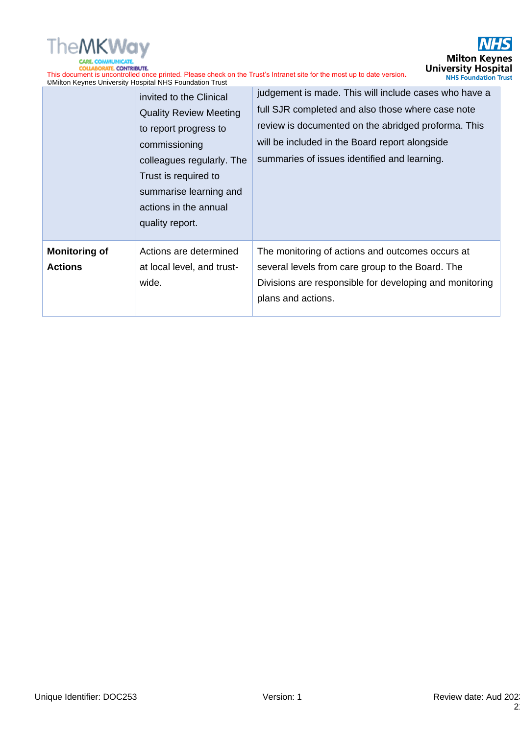

 $\overline{\mathcal{S}}$ **Milton Keynes**<br>University Hospital<br>
NHS Foundation Trust

This document is uncontrolled once printed. Please check on the Trust's Intranet site for the most up to date version**.** ©Milton Keynes University Hospital NHS Foundation Trust

|                                        | invited to the Clinical<br><b>Quality Review Meeting</b><br>to report progress to<br>commissioning<br>colleagues regularly. The<br>Trust is required to<br>summarise learning and<br>actions in the annual<br>quality report. | judgement is made. This will include cases who have a<br>full SJR completed and also those where case note<br>review is documented on the abridged proforma. This<br>will be included in the Board report alongside<br>summaries of issues identified and learning. |
|----------------------------------------|-------------------------------------------------------------------------------------------------------------------------------------------------------------------------------------------------------------------------------|---------------------------------------------------------------------------------------------------------------------------------------------------------------------------------------------------------------------------------------------------------------------|
| <b>Monitoring of</b><br><b>Actions</b> | Actions are determined<br>at local level, and trust-<br>wide.                                                                                                                                                                 | The monitoring of actions and outcomes occurs at<br>several levels from care group to the Board. The<br>Divisions are responsible for developing and monitoring<br>plans and actions.                                                                               |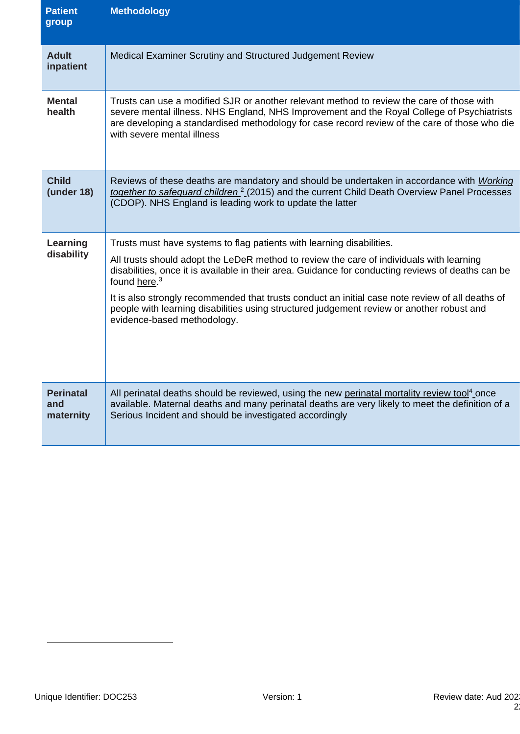| <b>Patient</b><br>group              | <b>Methodology</b>                                                                                                                                                                                                                                                                                                                                                                                                                                                                                                                  |
|--------------------------------------|-------------------------------------------------------------------------------------------------------------------------------------------------------------------------------------------------------------------------------------------------------------------------------------------------------------------------------------------------------------------------------------------------------------------------------------------------------------------------------------------------------------------------------------|
| <b>Adult</b><br>inpatient            | Medical Examiner Scrutiny and Structured Judgement Review                                                                                                                                                                                                                                                                                                                                                                                                                                                                           |
| <b>Mental</b><br>health              | Trusts can use a modified SJR or another relevant method to review the care of those with<br>severe mental illness. NHS England, NHS Improvement and the Royal College of Psychiatrists<br>are developing a standardised methodology for case record review of the care of those who die<br>with severe mental illness                                                                                                                                                                                                              |
| <b>Child</b><br>(under 18)           | Reviews of these deaths are mandatory and should be undertaken in accordance with Working<br>together to safeguard children <sup>2</sup> (2015) and the current Child Death Overview Panel Processes<br>(CDOP). NHS England is leading work to update the latter                                                                                                                                                                                                                                                                    |
| Learning<br>disability               | Trusts must have systems to flag patients with learning disabilities.<br>All trusts should adopt the LeDeR method to review the care of individuals with learning<br>disabilities, once it is available in their area. Guidance for conducting reviews of deaths can be<br>found here. <sup>3</sup><br>It is also strongly recommended that trusts conduct an initial case note review of all deaths of<br>people with learning disabilities using structured judgement review or another robust and<br>evidence-based methodology. |
| <b>Perinatal</b><br>and<br>maternity | All perinatal deaths should be reviewed, using the new perinatal mortality review tool <sup>4</sup> once<br>available. Maternal deaths and many perinatal deaths are very likely to meet the definition of a<br>Serious Incident and should be investigated accordingly                                                                                                                                                                                                                                                             |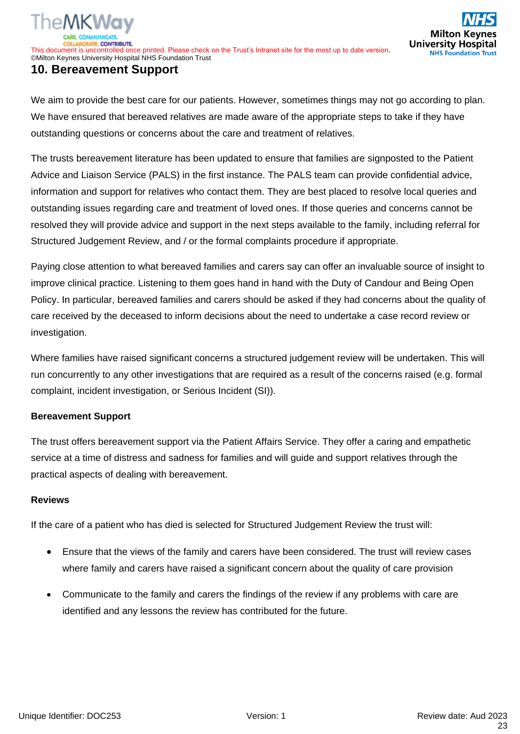# **10. Bereavement Support**

We aim to provide the best care for our patients. However, sometimes things may not go according to plan. We have ensured that bereaved relatives are made aware of the appropriate steps to take if they have outstanding questions or concerns about the care and treatment of relatives.

The trusts bereavement literature has been updated to ensure that families are signposted to the Patient Advice and Liaison Service (PALS) in the first instance. The PALS team can provide confidential advice, information and support for relatives who contact them. They are best placed to resolve local queries and outstanding issues regarding care and treatment of loved ones. If those queries and concerns cannot be resolved they will provide advice and support in the next steps available to the family, including referral for Structured Judgement Review, and / or the formal complaints procedure if appropriate.

Paying close attention to what bereaved families and carers say can offer an invaluable source of insight to improve clinical practice. Listening to them goes hand in hand with the Duty of Candour and Being Open Policy. In particular, bereaved families and carers should be asked if they had concerns about the quality of care received by the deceased to inform decisions about the need to undertake a case record review or investigation.

Where families have raised significant concerns a structured judgement review will be undertaken. This will run concurrently to any other investigations that are required as a result of the concerns raised (e.g. formal complaint, incident investigation, or Serious Incident (SI)).

#### **Bereavement Support**

The trust offers bereavement support via the Patient Affairs Service. They offer a caring and empathetic service at a time of distress and sadness for families and will guide and support relatives through the practical aspects of dealing with bereavement.

#### **Reviews**

If the care of a patient who has died is selected for Structured Judgement Review the trust will:

- Ensure that the views of the family and carers have been considered. The trust will review cases where family and carers have raised a significant concern about the quality of care provision
- Communicate to the family and carers the findings of the review if any problems with care are identified and any lessons the review has contributed for the future.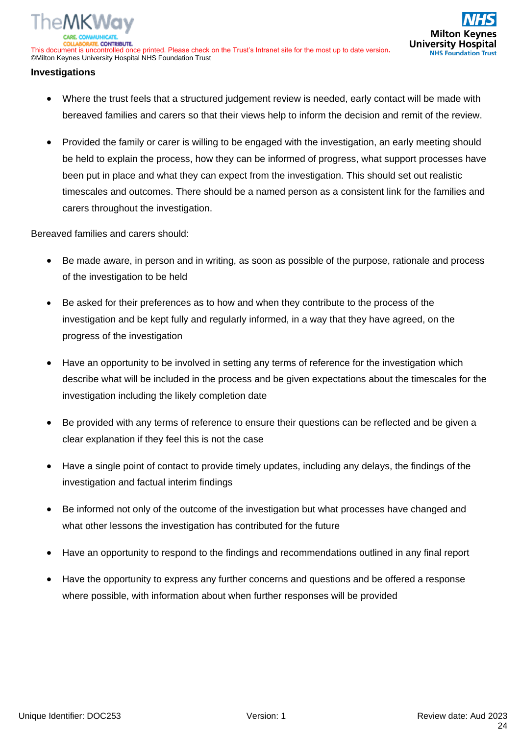#### **Investigations**

- Where the trust feels that a structured judgement review is needed, early contact will be made with bereaved families and carers so that their views help to inform the decision and remit of the review.
- Provided the family or carer is willing to be engaged with the investigation, an early meeting should be held to explain the process, how they can be informed of progress, what support processes have been put in place and what they can expect from the investigation. This should set out realistic timescales and outcomes. There should be a named person as a consistent link for the families and carers throughout the investigation.

Bereaved families and carers should:

- Be made aware, in person and in writing, as soon as possible of the purpose, rationale and process of the investigation to be held
- Be asked for their preferences as to how and when they contribute to the process of the investigation and be kept fully and regularly informed, in a way that they have agreed, on the progress of the investigation
- Have an opportunity to be involved in setting any terms of reference for the investigation which describe what will be included in the process and be given expectations about the timescales for the investigation including the likely completion date
- Be provided with any terms of reference to ensure their questions can be reflected and be given a clear explanation if they feel this is not the case
- Have a single point of contact to provide timely updates, including any delays, the findings of the investigation and factual interim findings
- Be informed not only of the outcome of the investigation but what processes have changed and what other lessons the investigation has contributed for the future
- Have an opportunity to respond to the findings and recommendations outlined in any final report
- Have the opportunity to express any further concerns and questions and be offered a response where possible, with information about when further responses will be provided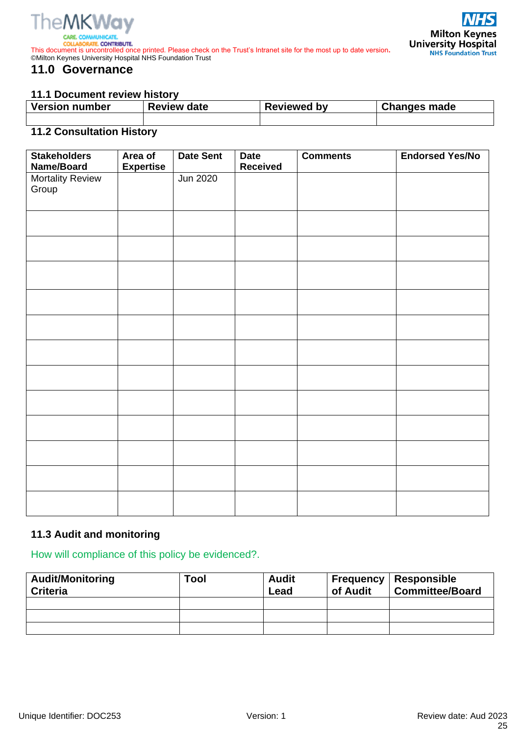

# **11.0 Governance**

#### **11.1 Document review history**

| <b>Version number</b> | <b>Review date</b> | <b>Reviewed by</b> | <b>Changes made</b> |  |  |
|-----------------------|--------------------|--------------------|---------------------|--|--|
|                       |                    |                    |                     |  |  |

# **11.2 Consultation History**

| <b>Stakeholders</b><br>Name/Board | Area of<br><b>Expertise</b> | <b>Date Sent</b> | <b>Date</b><br><b>Received</b> | <b>Comments</b> | <b>Endorsed Yes/No</b> |
|-----------------------------------|-----------------------------|------------------|--------------------------------|-----------------|------------------------|
| <b>Mortality Review</b><br>Group  |                             | <b>Jun 2020</b>  |                                |                 |                        |
|                                   |                             |                  |                                |                 |                        |
|                                   |                             |                  |                                |                 |                        |
|                                   |                             |                  |                                |                 |                        |
|                                   |                             |                  |                                |                 |                        |
|                                   |                             |                  |                                |                 |                        |
|                                   |                             |                  |                                |                 |                        |
|                                   |                             |                  |                                |                 |                        |
|                                   |                             |                  |                                |                 |                        |
|                                   |                             |                  |                                |                 |                        |
|                                   |                             |                  |                                |                 |                        |
|                                   |                             |                  |                                |                 |                        |
|                                   |                             |                  |                                |                 |                        |

# **11.3 Audit and monitoring**

How will compliance of this policy be evidenced?.

| <b>Audit/Monitoring</b><br><b>Criteria</b> | Tool | <b>Audit</b><br>Lead | of Audit | <b>Frequency   Responsible</b><br><b>Committee/Board</b> |
|--------------------------------------------|------|----------------------|----------|----------------------------------------------------------|
|                                            |      |                      |          |                                                          |
|                                            |      |                      |          |                                                          |
|                                            |      |                      |          |                                                          |

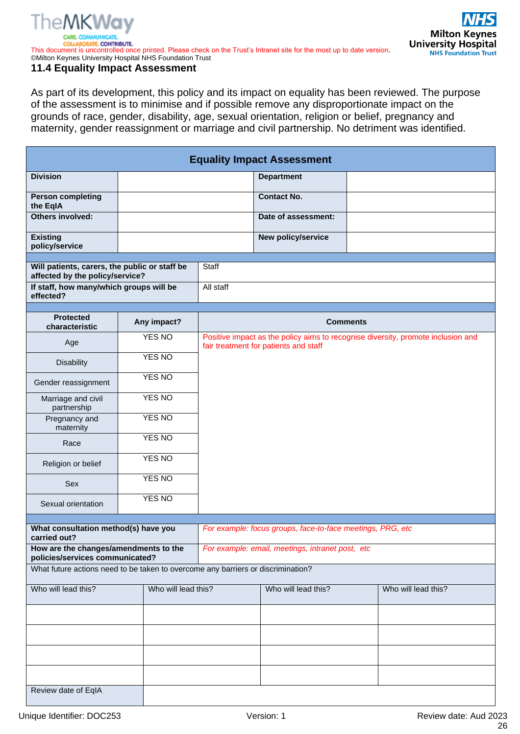# **TheMKWav**

This document is uncontrolled once printed. Please check on the Trust's Intranet site for the most up to date version**.** ©Milton Keynes University Hospital NHS Foundation Trust

#### **11.4 Equality Impact Assessment**

As part of its development, this policy and its impact on equality has been reviewed. The purpose of the assessment is to minimise and if possible remove any disproportionate impact on the grounds of race, gender, disability, age, sexual orientation, religion or belief, pregnancy and maternity, gender reassignment or marriage and civil partnership. No detriment was identified.

| <b>Equality Impact Assessment</b>                                                |  |                                                            |                                                                                                                           |                     |  |                     |  |  |  |
|----------------------------------------------------------------------------------|--|------------------------------------------------------------|---------------------------------------------------------------------------------------------------------------------------|---------------------|--|---------------------|--|--|--|
| <b>Division</b>                                                                  |  |                                                            |                                                                                                                           | <b>Department</b>   |  |                     |  |  |  |
| <b>Person completing</b><br>the EqIA                                             |  |                                                            |                                                                                                                           | <b>Contact No.</b>  |  |                     |  |  |  |
| Others involved:                                                                 |  |                                                            |                                                                                                                           | Date of assessment: |  |                     |  |  |  |
| <b>Existing</b><br>policy/service                                                |  |                                                            |                                                                                                                           | New policy/service  |  |                     |  |  |  |
|                                                                                  |  |                                                            |                                                                                                                           |                     |  |                     |  |  |  |
| Will patients, carers, the public or staff be<br>affected by the policy/service? |  | Staff                                                      |                                                                                                                           |                     |  |                     |  |  |  |
| If staff, how many/which groups will be<br>effected?                             |  | All staff                                                  |                                                                                                                           |                     |  |                     |  |  |  |
|                                                                                  |  |                                                            |                                                                                                                           |                     |  |                     |  |  |  |
| <b>Protected</b><br>characteristic                                               |  | Any impact?                                                | Comments                                                                                                                  |                     |  |                     |  |  |  |
| Age                                                                              |  | <b>YES NO</b>                                              | Positive impact as the policy aims to recognise diversity, promote inclusion and<br>fair treatment for patients and staff |                     |  |                     |  |  |  |
| <b>Disability</b>                                                                |  | YES NO                                                     |                                                                                                                           |                     |  |                     |  |  |  |
| Gender reassignment                                                              |  | <b>YES NO</b>                                              |                                                                                                                           |                     |  |                     |  |  |  |
| Marriage and civil<br>partnership                                                |  | YES NO                                                     |                                                                                                                           |                     |  |                     |  |  |  |
| Pregnancy and<br>maternity                                                       |  | <b>YES NO</b><br>YES NO<br><b>YES NO</b>                   |                                                                                                                           |                     |  |                     |  |  |  |
| Race                                                                             |  |                                                            |                                                                                                                           |                     |  |                     |  |  |  |
| Religion or belief                                                               |  |                                                            |                                                                                                                           |                     |  |                     |  |  |  |
| Sex                                                                              |  | YES NO                                                     |                                                                                                                           |                     |  |                     |  |  |  |
| Sexual orientation                                                               |  | <b>YES NO</b>                                              |                                                                                                                           |                     |  |                     |  |  |  |
|                                                                                  |  |                                                            |                                                                                                                           |                     |  |                     |  |  |  |
| What consultation method(s) have you<br>carried out?                             |  | For example: focus groups, face-to-face meetings, PRG, etc |                                                                                                                           |                     |  |                     |  |  |  |
| How are the changes/amendments to the<br>policies/services communicated?         |  | For example: email, meetings, intranet post, etc           |                                                                                                                           |                     |  |                     |  |  |  |
| What future actions need to be taken to overcome any barriers or discrimination? |  |                                                            |                                                                                                                           |                     |  |                     |  |  |  |
| Who will lead this?                                                              |  | Who will lead this?                                        |                                                                                                                           | Who will lead this? |  | Who will lead this? |  |  |  |
|                                                                                  |  |                                                            |                                                                                                                           |                     |  |                     |  |  |  |
|                                                                                  |  |                                                            |                                                                                                                           |                     |  |                     |  |  |  |
|                                                                                  |  |                                                            |                                                                                                                           |                     |  |                     |  |  |  |
|                                                                                  |  |                                                            |                                                                                                                           |                     |  |                     |  |  |  |
| Review date of EqIA                                                              |  |                                                            |                                                                                                                           |                     |  |                     |  |  |  |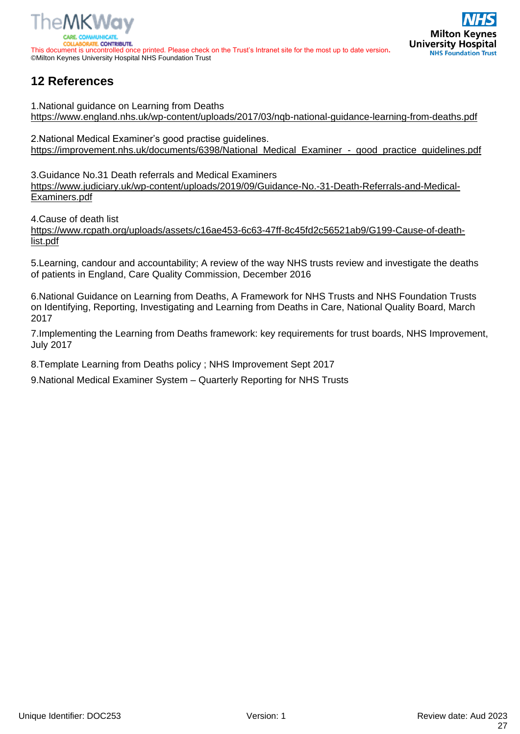



# **12 References**

1.National guidance on Learning from Deaths <https://www.england.nhs.uk/wp-content/uploads/2017/03/nqb-national-guidance-learning-from-deaths.pdf>

2.National Medical Examiner's good practise guidelines. [https://improvement.nhs.uk/documents/6398/National\\_Medical\\_Examiner\\_-\\_good\\_practice\\_guidelines.pdf](https://improvement.nhs.uk/documents/6398/National_Medical_Examiner_-_good_practice_guidelines.pdf)

3.Guidance No.31 Death referrals and Medical Examiners [https://www.judiciary.uk/wp-content/uploads/2019/09/Guidance-No.-31-Death-Referrals-and-Medical-](https://www.judiciary.uk/wp-content/uploads/2019/09/Guidance-No.-31-Death-Referrals-and-Medical-Examiners.pdf)[Examiners.pdf](https://www.judiciary.uk/wp-content/uploads/2019/09/Guidance-No.-31-Death-Referrals-and-Medical-Examiners.pdf)

4.Cause of death list

[https://www.rcpath.org/uploads/assets/c16ae453-6c63-47ff-8c45fd2c56521ab9/G199-Cause-of-death](https://www.rcpath.org/uploads/assets/c16ae453-6c63-47ff-8c45fd2c56521ab9/G199-Cause-of-death-list.pdf)[list.pdf](https://www.rcpath.org/uploads/assets/c16ae453-6c63-47ff-8c45fd2c56521ab9/G199-Cause-of-death-list.pdf)

5.Learning, candour and accountability; A review of the way NHS trusts review and investigate the deaths of patients in England, Care Quality Commission, December 2016

6.National Guidance on Learning from Deaths, A Framework for NHS Trusts and NHS Foundation Trusts on Identifying, Reporting, Investigating and Learning from Deaths in Care, National Quality Board, March 2017

7.Implementing the Learning from Deaths framework: key requirements for trust boards, NHS Improvement, July 2017

8.Template Learning from Deaths policy ; NHS Improvement Sept 2017

9.National Medical Examiner System – Quarterly Reporting for NHS Trusts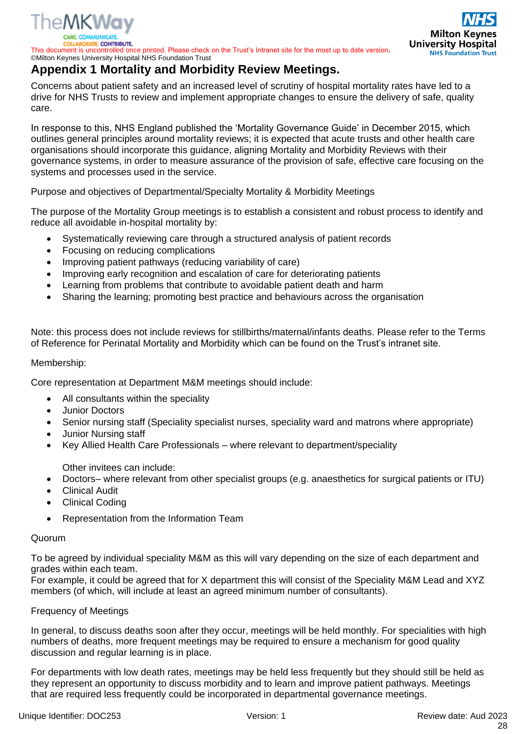

ORATE CONTRIBUTE.

This document is uncontrolled once printed. Please check on the Trust's Intranet site for the most up to date version**.** ©Milton Keynes University Hospital NHS Foundation Trust

# **Appendix 1 Mortality and Morbidity Review Meetings.**

Concerns about patient safety and an increased level of scrutiny of hospital mortality rates have led to a drive for NHS Trusts to review and implement appropriate changes to ensure the delivery of safe, quality care.

In response to this, NHS England published the 'Mortality Governance Guide' in December 2015, which outlines general principles around mortality reviews; it is expected that acute trusts and other health care organisations should incorporate this guidance, aligning Mortality and Morbidity Reviews with their governance systems, in order to measure assurance of the provision of safe, effective care focusing on the systems and processes used in the service.

Purpose and objectives of Departmental/Specialty Mortality & Morbidity Meetings

The purpose of the Mortality Group meetings is to establish a consistent and robust process to identify and reduce all avoidable in-hospital mortality by:

- Systematically reviewing care through a structured analysis of patient records
- Focusing on reducing complications
- Improving patient pathways (reducing variability of care)
- Improving early recognition and escalation of care for deteriorating patients
- Learning from problems that contribute to avoidable patient death and harm
- Sharing the learning; promoting best practice and behaviours across the organisation

Note: this process does not include reviews for stillbirths/maternal/infants deaths. Please refer to the Terms of Reference for Perinatal Mortality and Morbidity which can be found on the Trust's intranet site.

#### Membership:

Core representation at Department M&M meetings should include:

- All consultants within the speciality
- Junior Doctors
- Senior nursing staff (Speciality specialist nurses, speciality ward and matrons where appropriate)
- Junior Nursing staff
- Key Allied Health Care Professionals where relevant to department/speciality

Other invitees can include:

- Doctors– where relevant from other specialist groups (e.g. anaesthetics for surgical patients or ITU)
- **Clinical Audit**
- **Clinical Coding**
- Representation from the Information Team

#### Quorum

To be agreed by individual speciality M&M as this will vary depending on the size of each department and grades within each team.

For example, it could be agreed that for X department this will consist of the Speciality M&M Lead and XYZ members (of which, will include at least an agreed minimum number of consultants).

#### Frequency of Meetings

In general, to discuss deaths soon after they occur, meetings will be held monthly. For specialities with high numbers of deaths, more frequent meetings may be required to ensure a mechanism for good quality discussion and regular learning is in place.

For departments with low death rates, meetings may be held less frequently but they should still be held as they represent an opportunity to discuss morbidity and to learn and improve patient pathways. Meetings that are required less frequently could be incorporated in departmental governance meetings.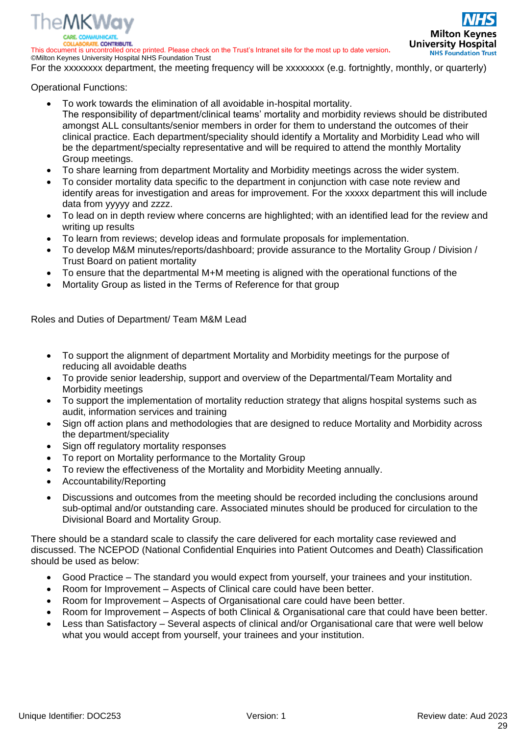

**RATE CONTRIBUTE** 

This document is uncontrolled once printed. Please check on the Trust's Intranet site for the most up to date version**.** ©Milton Keynes University Hospital NHS Foundation Trust

**Milton Keynes University Hospital NHS Foundation Trust** 

For the xxxxxxxx department, the meeting frequency will be xxxxxxxx (e.g. fortnightly, monthly, or quarterly)

Operational Functions:

- To work towards the elimination of all avoidable in-hospital mortality. The responsibility of department/clinical teams' mortality and morbidity reviews should be distributed amongst ALL consultants/senior members in order for them to understand the outcomes of their clinical practice. Each department/speciality should identify a Mortality and Morbidity Lead who will be the department/specialty representative and will be required to attend the monthly Mortality Group meetings.
- To share learning from department Mortality and Morbidity meetings across the wider system.
- To consider mortality data specific to the department in conjunction with case note review and identify areas for investigation and areas for improvement. For the xxxxx department this will include data from yyyyy and zzzz.
- To lead on in depth review where concerns are highlighted; with an identified lead for the review and writing up results
- To learn from reviews; develop ideas and formulate proposals for implementation.
- To develop M&M minutes/reports/dashboard; provide assurance to the Mortality Group / Division / Trust Board on patient mortality
- To ensure that the departmental M+M meeting is aligned with the operational functions of the
- Mortality Group as listed in the Terms of Reference for that group

Roles and Duties of Department/ Team M&M Lead

- To support the alignment of department Mortality and Morbidity meetings for the purpose of reducing all avoidable deaths
- To provide senior leadership, support and overview of the Departmental/Team Mortality and Morbidity meetings
- To support the implementation of mortality reduction strategy that aligns hospital systems such as audit, information services and training
- Sign off action plans and methodologies that are designed to reduce Mortality and Morbidity across the department/speciality
- Sign off regulatory mortality responses
- To report on Mortality performance to the Mortality Group
- To review the effectiveness of the Mortality and Morbidity Meeting annually.
- Accountability/Reporting
- Discussions and outcomes from the meeting should be recorded including the conclusions around sub-optimal and/or outstanding care. Associated minutes should be produced for circulation to the Divisional Board and Mortality Group.

There should be a standard scale to classify the care delivered for each mortality case reviewed and discussed. The NCEPOD (National Confidential Enquiries into Patient Outcomes and Death) Classification should be used as below:

- Good Practice The standard you would expect from yourself, your trainees and your institution.
- Room for Improvement Aspects of Clinical care could have been better.
- Room for Improvement Aspects of Organisational care could have been better.
- Room for Improvement Aspects of both Clinical & Organisational care that could have been better.
- Less than Satisfactory Several aspects of clinical and/or Organisational care that were well below what you would accept from yourself, your trainees and your institution.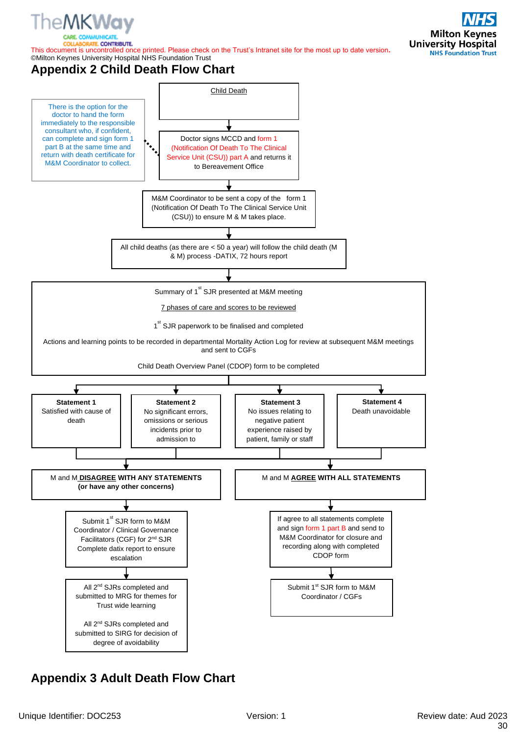

TE CONTRIBUTE.

This document is uncontrolled once printed. Please check on the Trust's Intranet site for the most up to date version**.** ©Milton Keynes University Hospital NHS Foundation Trust

# **Appendix 2 Child Death Flow Chart**



# **Appendix 3 Adult Death Flow Chart**